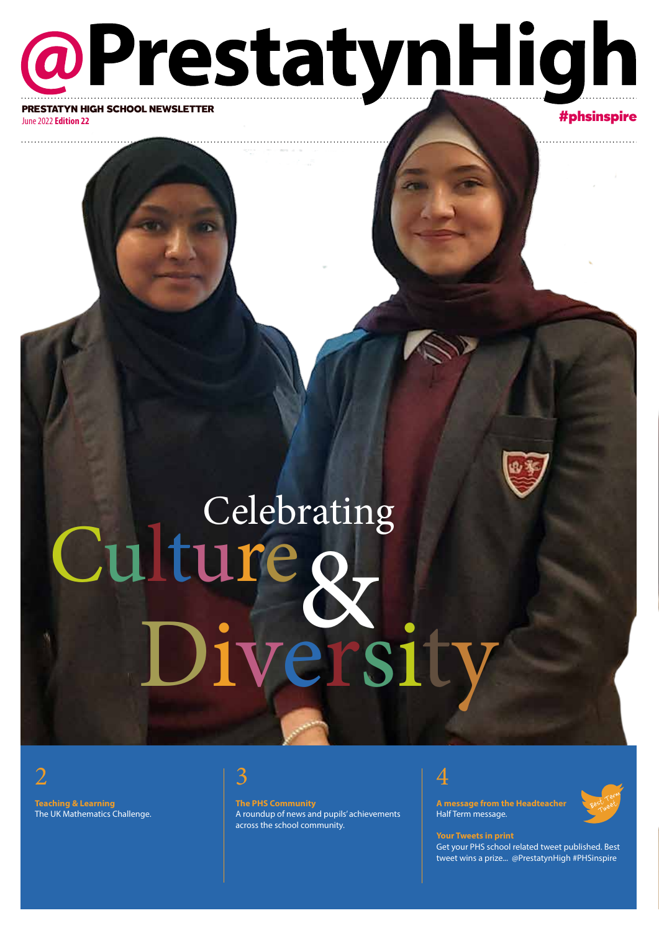## @PrestatynHigh PRESTATYN HIGH SCHOOL NEWSLETTER<br>https://www.although School Newsletter.com

June 2022 **Edition 22**

# Culture & Celebrating Diversity

2

**Teaching & Learning** The UK Mathematics Challenge.

#### 3

**The PHS Community**  A roundup of news and pupils' achievements across the school community.



**A message from the Headteacher** Half Term message.

#### Best Term st Let

**Your Tweets in print** Get your PHS school related tweet published. Best tweet wins a prize... @PrestatynHigh #PHSinspire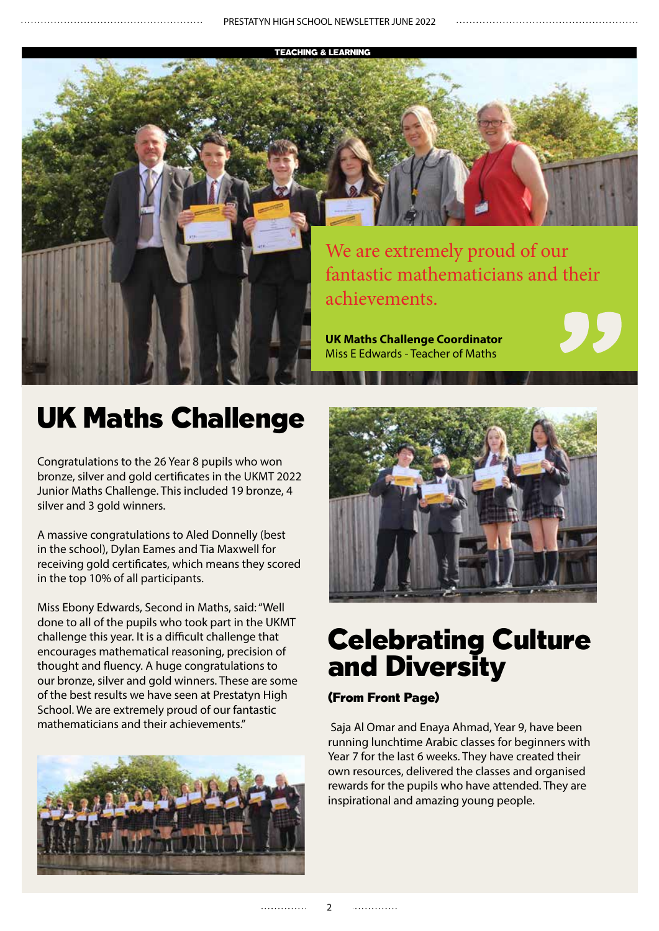TEACHING & LEARNING



### UK Maths Challenge

Congratulations to the 26 Year 8 pupils who won bronze, silver and gold certificates in the UKMT 2022 Junior Maths Challenge. This included 19 bronze, 4 silver and 3 gold winners.

A massive congratulations to Aled Donnelly (best in the school), Dylan Eames and Tia Maxwell for receiving gold certificates, which means they scored in the top 10% of all participants.

Miss Ebony Edwards, Second in Maths, said: "Well done to all of the pupils who took part in the UKMT challenge this year. It is a difficult challenge that encourages mathematical reasoning, precision of thought and fluency. A huge congratulations to our bronze, silver and gold winners. These are some of the best results we have seen at Prestatyn High School. We are extremely proud of our fantastic mathematicians and their achievements."





**SCHOOLS** 

#### Celebrating Culture and Diversity

#### (From Front Page)

 Saja Al Omar and Enaya Ahmad, Year 9, have been running lunchtime Arabic classes for beginners with Year 7 for the last 6 weeks. They have created their own resources, delivered the classes and organised rewards for the pupils who have attended. They are inspirational and amazing young people.

. . . . . . . . . . . . .

. . . . . . . . . . . . .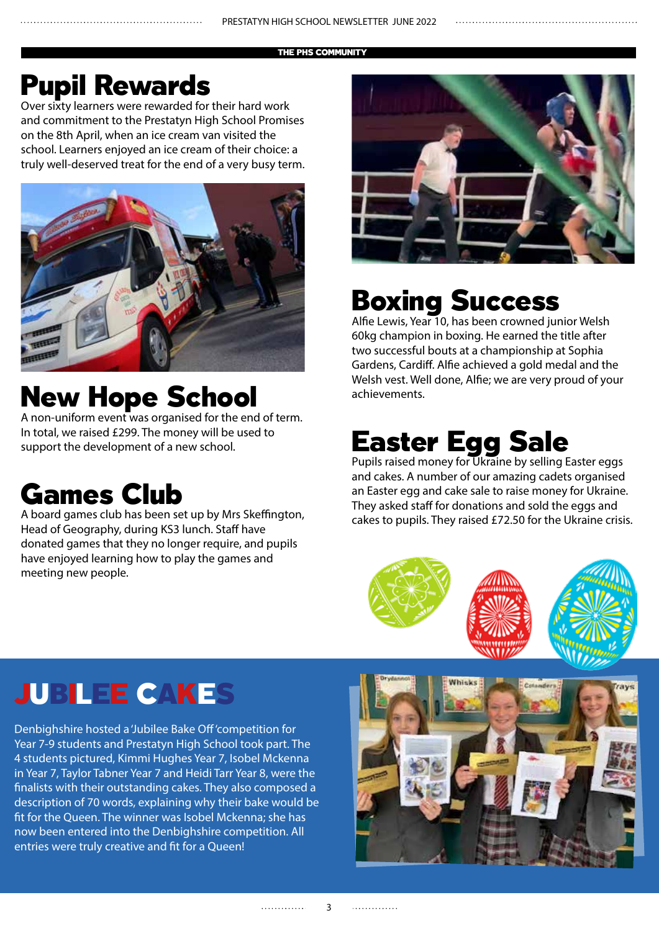THE PHS COMMUNITY

#### Pupil Rewards

Over sixty learners were rewarded for their hard work and commitment to the Prestatyn High School Promises on the 8th April, when an ice cream van visited the school. Learners enjoyed an ice cream of their choice: a truly well-deserved treat for the end of a very busy term.



### New Hope School

A non-uniform event was organised for the end of term. In total, we raised £299. The money will be used to support the development of a new school.

### Games Club

A board games club has been set up by Mrs Skeffington, Head of Geography, during KS3 lunch. Staff have donated games that they no longer require, and pupils have enjoyed learning how to play the games and meeting new people.



### Boxing Success

Alfie Lewis, Year 10, has been crowned junior Welsh 60kg champion in boxing. He earned the title after two successful bouts at a championship at Sophia Gardens, Cardiff. Alfie achieved a gold medal and the Welsh vest. Well done, Alfie; we are very proud of your achievements.

### Easter Egg Sale

Pupils raised money for Ukraine by selling Easter eggs and cakes. A number of our amazing cadets organised an Easter egg and cake sale to raise money for Ukraine. They asked staff for donations and sold the eggs and cakes to pupils. They raised £72.50 for the Ukraine crisis.



### JUBILEE CAKES

Denbighshire hosted a 'Jubilee Bake Off 'competition for Year 7-9 students and Prestatyn High School took part. The 4 students pictured, Kimmi Hughes Year 7, Isobel Mckenna in Year 7, Taylor Tabner Year 7 and Heidi Tarr Year 8, were the finalists with their outstanding cakes. They also composed a description of 70 words, explaining why their bake would be fit for the Queen. The winner was Isobel Mckenna; she has now been entered into the Denbighshire competition. All entries were truly creative and fit for a Queen!